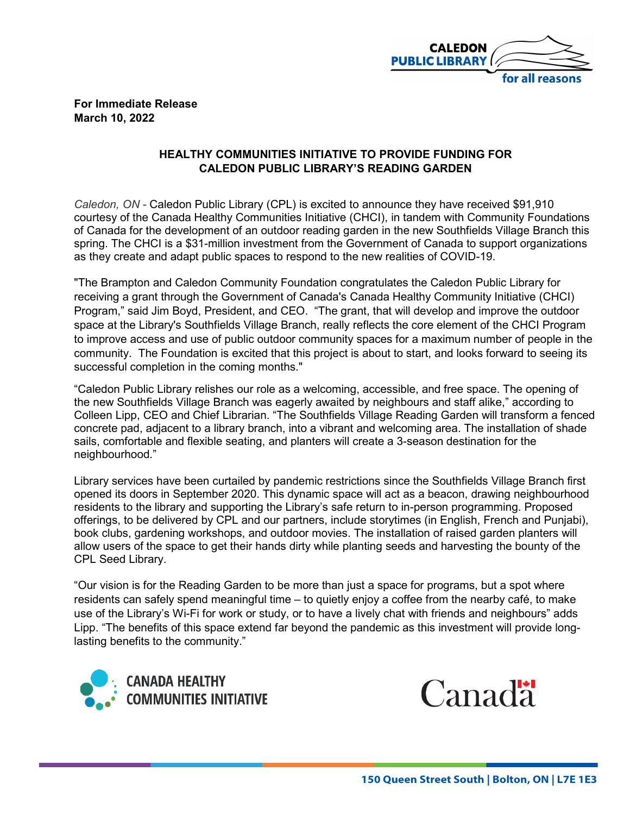

## **For Immediate Release March 10, 2022**

## **HEALTHY COMMUNITIES INITIATIVE TO PROVIDE FUNDING FOR CALEDON PUBLIC LIBRARY'S READING GARDEN**

*Caledon, ON -* Caledon Public Library (CPL) is excited to announce they have received \$91,910 courtesy of the Canada Healthy Communities Initiative (CHCI), in tandem with Community Foundations of Canada for the development of an outdoor reading garden in the new Southfields Village Branch this spring. The CHCI is a \$31-million investment from the Government of Canada to support organizations as they create and adapt public spaces to respond to the new realities of COVID-19.

"The Brampton and Caledon Community Foundation congratulates the Caledon Public Library for receiving a grant through the Government of Canada's Canada Healthy Community Initiative (CHCI) Program," said Jim Boyd, President, and CEO. "The grant, that will develop and improve the outdoor space at the Library's Southfields Village Branch, really reflects the core element of the CHCI Program to improve access and use of public outdoor community spaces for a maximum number of people in the community. The Foundation is excited that this project is about to start, and looks forward to seeing its successful completion in the coming months."

"Caledon Public Library relishes our role as a welcoming, accessible, and free space. The opening of the new Southfields Village Branch was eagerly awaited by neighbours and staff alike," according to Colleen Lipp, CEO and Chief Librarian. "The Southfields Village Reading Garden will transform a fenced concrete pad, adjacent to a library branch, into a vibrant and welcoming area. The installation of shade sails, comfortable and flexible seating, and planters will create a 3-season destination for the neighbourhood."

Library services have been curtailed by pandemic restrictions since the Southfields Village Branch first opened its doors in September 2020. This dynamic space will act as a beacon, drawing neighbourhood residents to the library and supporting the Library's safe return to in-person programming. Proposed offerings, to be delivered by CPL and our partners, include storytimes (in English, French and Punjabi), book clubs, gardening workshops, and outdoor movies. The installation of raised garden planters will allow users of the space to get their hands dirty while planting seeds and harvesting the bounty of the CPL Seed Library.

"Our vision is for the Reading Garden to be more than just a space for programs, but a spot where residents can safely spend meaningful time – to quietly enjoy a coffee from the nearby café, to make use of the Library's Wi-Fi for work or study, or to have a lively chat with friends and neighbours" adds Lipp. "The benefits of this space extend far beyond the pandemic as this investment will provide longlasting benefits to the community."